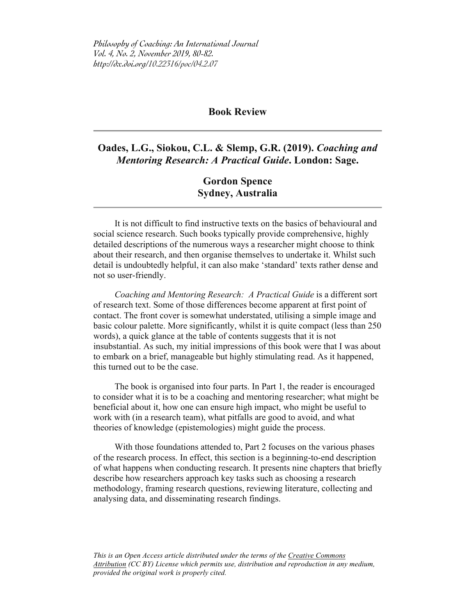*Philosophy of Coaching: An International Journal Vol. 4, No. 2, November 2019, 80-82. http://dx.doi.org/10.22316/poc/04.2.07*

## **Book Review**

**Oades, L.G., Siokou, C.L. & Slemp, G.R. (2019).** *Coaching and Mentoring Research: A Practical Guide***. London: Sage.**

> **Gordon Spence Sydney, Australia**

It is not difficult to find instructive texts on the basics of behavioural and social science research. Such books typically provide comprehensive, highly detailed descriptions of the numerous ways a researcher might choose to think about their research, and then organise themselves to undertake it. Whilst such detail is undoubtedly helpful, it can also make 'standard' texts rather dense and not so user-friendly.

*Coaching and Mentoring Research: A Practical Guide* is a different sort of research text. Some of those differences become apparent at first point of contact. The front cover is somewhat understated, utilising a simple image and basic colour palette. More significantly, whilst it is quite compact (less than 250 words), a quick glance at the table of contents suggests that it is not insubstantial. As such, my initial impressions of this book were that I was about to embark on a brief, manageable but highly stimulating read. As it happened, this turned out to be the case.

The book is organised into four parts. In Part 1, the reader is encouraged to consider what it is to be a coaching and mentoring researcher; what might be beneficial about it, how one can ensure high impact, who might be useful to work with (in a research team), what pitfalls are good to avoid, and what theories of knowledge (epistemologies) might guide the process.

With those foundations attended to, Part 2 focuses on the various phases of the research process. In effect, this section is a beginning-to-end description of what happens when conducting research. It presents nine chapters that briefly describe how researchers approach key tasks such as choosing a research methodology, framing research questions, reviewing literature, collecting and analysing data, and disseminating research findings.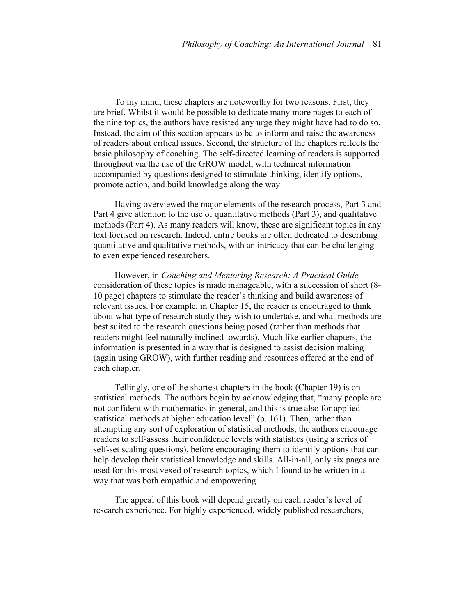To my mind, these chapters are noteworthy for two reasons. First, they are brief. Whilst it would be possible to dedicate many more pages to each of the nine topics, the authors have resisted any urge they might have had to do so. Instead, the aim of this section appears to be to inform and raise the awareness of readers about critical issues. Second, the structure of the chapters reflects the basic philosophy of coaching. The self-directed learning of readers is supported throughout via the use of the GROW model, with technical information accompanied by questions designed to stimulate thinking, identify options, promote action, and build knowledge along the way.

Having overviewed the major elements of the research process, Part 3 and Part 4 give attention to the use of quantitative methods (Part 3), and qualitative methods (Part 4). As many readers will know, these are significant topics in any text focused on research. Indeed, entire books are often dedicated to describing quantitative and qualitative methods, with an intricacy that can be challenging to even experienced researchers.

However, in *Coaching and Mentoring Research: A Practical Guide,*  consideration of these topics is made manageable, with a succession of short (8- 10 page) chapters to stimulate the reader's thinking and build awareness of relevant issues. For example, in Chapter 15, the reader is encouraged to think about what type of research study they wish to undertake, and what methods are best suited to the research questions being posed (rather than methods that readers might feel naturally inclined towards). Much like earlier chapters, the information is presented in a way that is designed to assist decision making (again using GROW), with further reading and resources offered at the end of each chapter.

Tellingly, one of the shortest chapters in the book (Chapter 19) is on statistical methods. The authors begin by acknowledging that, "many people are not confident with mathematics in general, and this is true also for applied statistical methods at higher education level" (p. 161). Then, rather than attempting any sort of exploration of statistical methods, the authors encourage readers to self-assess their confidence levels with statistics (using a series of self-set scaling questions), before encouraging them to identify options that can help develop their statistical knowledge and skills. All-in-all, only six pages are used for this most vexed of research topics, which I found to be written in a way that was both empathic and empowering.

The appeal of this book will depend greatly on each reader's level of research experience. For highly experienced, widely published researchers,